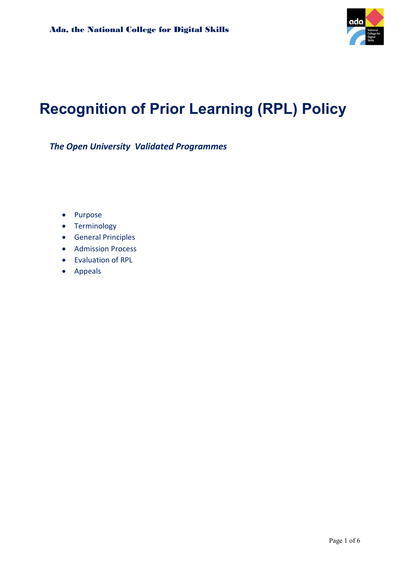

# Recognition of Prior Learning (RPL) Policy

The Open University Validated Programmes

- Purpose
- **•** Terminology
- **•** General Principles
- Admission Process
- Evaluation of RPL
- Appeals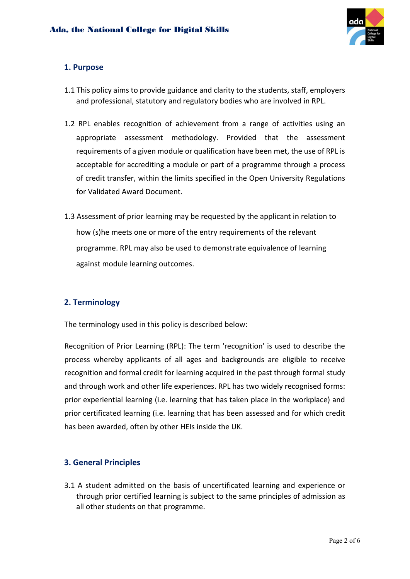

# 1. Purpose

- 1.1 This policy aims to provide guidance and clarity to the students, staff, employers and professional, statutory and regulatory bodies who are involved in RPL.
- 1.2 RPL enables recognition of achievement from a range of activities using an appropriate assessment methodology. Provided that the assessment requirements of a given module or qualification have been met, the use of RPL is acceptable for accrediting a module or part of a programme through a process of credit transfer, within the limits specified in the Open University Regulations for Validated Award Document.
- 1.3 Assessment of prior learning may be requested by the applicant in relation to how (s)he meets one or more of the entry requirements of the relevant programme. RPL may also be used to demonstrate equivalence of learning against module learning outcomes.

# 2. Terminology

The terminology used in this policy is described below:

Recognition of Prior Learning (RPL): The term 'recognition' is used to describe the process whereby applicants of all ages and backgrounds are eligible to receive recognition and formal credit for learning acquired in the past through formal study and through work and other life experiences. RPL has two widely recognised forms: prior experiential learning (i.e. learning that has taken place in the workplace) and prior certificated learning (i.e. learning that has been assessed and for which credit has been awarded, often by other HEIs inside the UK.

#### 3. General Principles

3.1 A student admitted on the basis of uncertificated learning and experience or through prior certified learning is subject to the same principles of admission as all other students on that programme.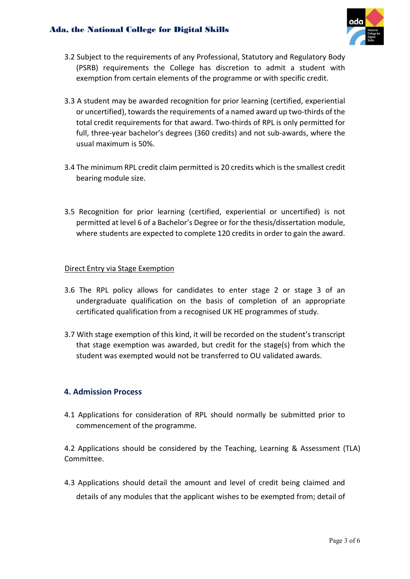#### Ada, the National College for Digital Skills



- 3.2 Subject to the requirements of any Professional, Statutory and Regulatory Body (PSRB) requirements the College has discretion to admit a student with exemption from certain elements of the programme or with specific credit.
- 3.3 A student may be awarded recognition for prior learning (certified, experiential or uncertified), towards the requirements of a named award up two-thirds of the total credit requirements for that award. Two-thirds of RPL is only permitted for full, three-year bachelor's degrees (360 credits) and not sub-awards, where the usual maximum is 50%.
- 3.4 The minimum RPL credit claim permitted is 20 credits which is the smallest credit bearing module size.
- 3.5 Recognition for prior learning (certified, experiential or uncertified) is not permitted at level 6 of a Bachelor's Degree or for the thesis/dissertation module, where students are expected to complete 120 credits in order to gain the award.

#### Direct Entry via Stage Exemption

- 3.6 The RPL policy allows for candidates to enter stage 2 or stage 3 of an undergraduate qualification on the basis of completion of an appropriate certificated qualification from a recognised UK HE programmes of study.
- 3.7 With stage exemption of this kind, it will be recorded on the student's transcript that stage exemption was awarded, but credit for the stage(s) from which the student was exempted would not be transferred to OU validated awards.

#### 4. Admission Process

4.1 Applications for consideration of RPL should normally be submitted prior to commencement of the programme.

4.2 Applications should be considered by the Teaching, Learning & Assessment (TLA) Committee.

4.3 Applications should detail the amount and level of credit being claimed and details of any modules that the applicant wishes to be exempted from; detail of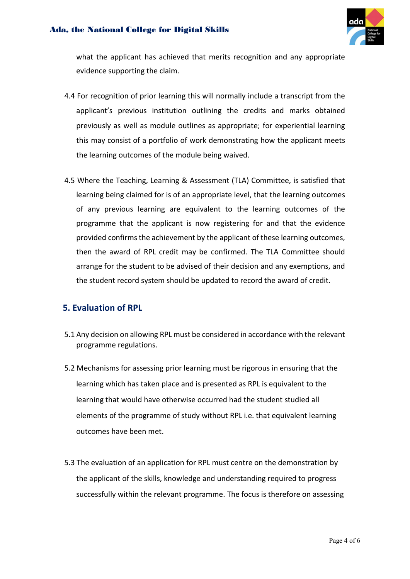#### Ada, the National College for Digital Skills



what the applicant has achieved that merits recognition and any appropriate evidence supporting the claim.

- 4.4 For recognition of prior learning this will normally include a transcript from the applicant's previous institution outlining the credits and marks obtained previously as well as module outlines as appropriate; for experiential learning this may consist of a portfolio of work demonstrating how the applicant meets the learning outcomes of the module being waived.
- 4.5 Where the Teaching, Learning & Assessment (TLA) Committee, is satisfied that learning being claimed for is of an appropriate level, that the learning outcomes of any previous learning are equivalent to the learning outcomes of the programme that the applicant is now registering for and that the evidence provided confirms the achievement by the applicant of these learning outcomes, then the award of RPL credit may be confirmed. The TLA Committee should arrange for the student to be advised of their decision and any exemptions, and the student record system should be updated to record the award of credit.

# 5. Evaluation of RPL

- 5.1 Any decision on allowing RPL must be considered in accordance with the relevant programme regulations.
- 5.2 Mechanisms for assessing prior learning must be rigorous in ensuring that the learning which has taken place and is presented as RPL is equivalent to the learning that would have otherwise occurred had the student studied all elements of the programme of study without RPL i.e. that equivalent learning outcomes have been met.
- 5.3 The evaluation of an application for RPL must centre on the demonstration by the applicant of the skills, knowledge and understanding required to progress successfully within the relevant programme. The focus is therefore on assessing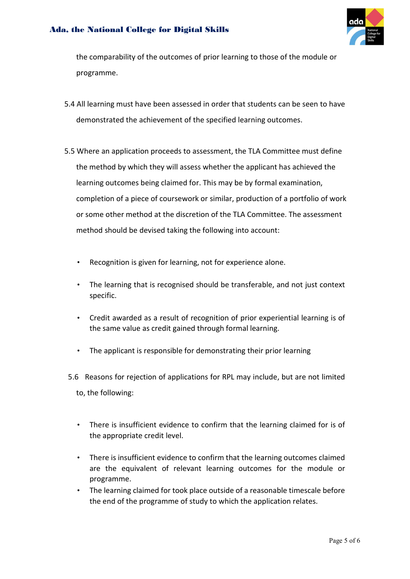#### Ada, the National College for Digital Skills



the comparability of the outcomes of prior learning to those of the module or programme.

- 5.4 All learning must have been assessed in order that students can be seen to have demonstrated the achievement of the specified learning outcomes.
- 5.5 Where an application proceeds to assessment, the TLA Committee must define the method by which they will assess whether the applicant has achieved the learning outcomes being claimed for. This may be by formal examination, completion of a piece of coursework or similar, production of a portfolio of work or some other method at the discretion of the TLA Committee. The assessment method should be devised taking the following into account:
	- Recognition is given for learning, not for experience alone.
	- The learning that is recognised should be transferable, and not just context specific.
	- Credit awarded as a result of recognition of prior experiential learning is of the same value as credit gained through formal learning.
	- The applicant is responsible for demonstrating their prior learning
	- 5.6 Reasons for rejection of applications for RPL may include, but are not limited to, the following:
		- There is insufficient evidence to confirm that the learning claimed for is of the appropriate credit level.
		- There is insufficient evidence to confirm that the learning outcomes claimed are the equivalent of relevant learning outcomes for the module or programme.
		- The learning claimed for took place outside of a reasonable timescale before the end of the programme of study to which the application relates.